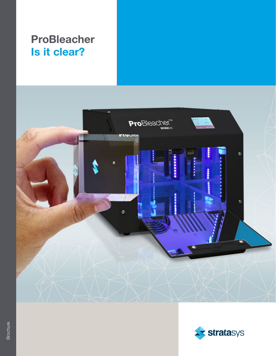### ProBleacher Is it clear?



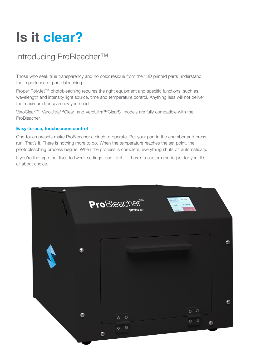# Is it clear?

### Introducing ProBleacher™

Those who seek true transparency and no color residue from their 3D printed parts understand the importance of photobleaching.

Proper PolyJet™ photobleaching requires the right equipment and specific functions, such as wavelength and intensity light source, time and temperature control. Anything less will not deliver the maximum transparency you need.

VeroClear™, VeroUltra™Clear and VeroUltra™ClearS models are fully compatible with the ProBleacher.

#### Easy-to-use, touchscreen control

One-touch presets make ProBleacher a cinch to operate. Put your part in the chamber and press run. That's it. There is nothing more to do. When the temperature reaches the set point, the photobleaching process begins. When the process is complete, everything shuts off automatically.

If you're the type that likes to tweak settings, don't fret — there's a custom mode just for you. It's all about choice.

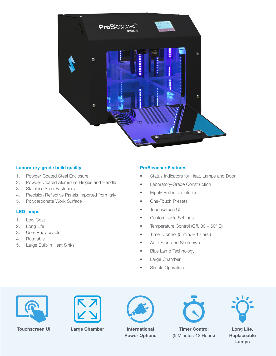

#### Laboratory-grade build quality

- 1. Powder Coated Steel Enclosure
- 2. Powder Coated Aluminum Hinges and Handle
- 3. Stainless Steel Fasteners
- 4. Precision Reflective Panels Imported from Italy
- 5. Polycarbonate Work Surface

#### LED lamps

- 1. Low Cost
- 2. Long Life
- 3. User Replaceable
- 4. Rotatable
- 5. Large Built-In Heat Sinks

#### ProBleacher Features

- Status Indicators for Heat, Lamps and Door
- Laboratory-Grade Construction
- Highly Reflective Interior
- One-Touch Presets
- Touchscreen UI
- Customizable Settings
- Temperature Control (Off, 30 60°C)
- Timer Control (5 min. 12 hrs.)
- Auto Start and Shutdown
- Blue Lamp Technology
- Large Chamber
- Simple Operation







Touchscreen UI Large Chamber International Power Options



Timer Control (5 Minutes-12 Hours)



Long Life, Replaceable Lamps